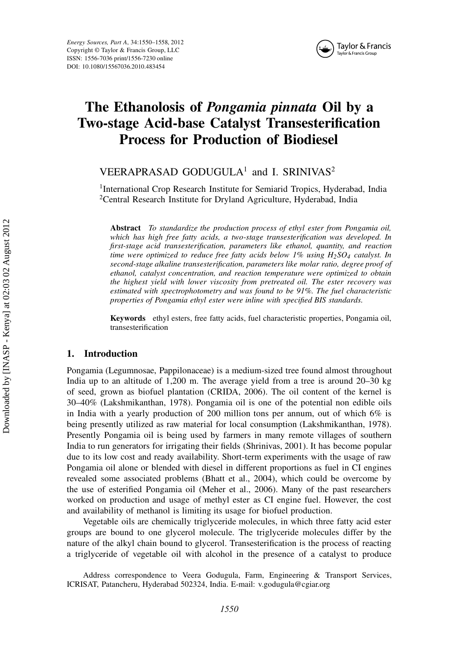

# The Ethanolosis of Pongamia pinnata Oil by a Two-stage Acid-base Catalyst Transesterification Process for Production of Biodiesel

# VEERAPRASAD GODUGULA<sup>1</sup> and I. SRINIVAS<sup>2</sup>

<sup>1</sup>International Crop Research Institute for Semiarid Tropics, Hyderabad, India <sup>2</sup>Central Research Institute for Dryland Agriculture, Hyderabad, India

Abstract To standardize the production process of ethyl ester from Pongamia oil, which has high free fatty acids, a two-stage transesterification was developed. In first-stage acid transesterification, parameters like ethanol, quantity, and reaction time were optimized to reduce free fatty acids below  $1\%$  using  $H_2SO_4$  catalyst. In second-stage alkaline transesterification, parameters like molar ratio, degree proof of ethanol, catalyst concentration, and reaction temperature were optimized to obtain the highest yield with lower viscosity from pretreated oil. The ester recovery was estimated with spectrophotometry and was found to be 91%. The fuel characteristic properties of Pongamia ethyl ester were inline with specified BIS standards.

Keywords ethyl esters, free fatty acids, fuel characteristic properties, Pongamia oil, transesterification

# 1. Introduction

Pongamia (Legumnosae, Pappilonaceae) is a medium-sized tree found almost throughout India up to an altitude of 1,200 m. The average yield from a tree is around 20–30 kg of seed, grown as biofuel plantation (CRIDA, 2006). The oil content of the kernel is 30–40% (Lakshmikanthan, 1978). Pongamia oil is one of the potential non edible oils in India with a yearly production of 200 million tons per annum, out of which  $6\%$  is being presently utilized as raw material for local consumption (Lakshmikanthan, 1978). Presently Pongamia oil is being used by farmers in many remote villages of southern India to run generators for irrigating their fields (Shrinivas, 2001). It has become popular due to its low cost and ready availability. Short-term experiments with the usage of raw Pongamia oil alone or blended with diesel in different proportions as fuel in CI engines revealed some associated problems (Bhatt et al., 2004), which could be overcome by the use of esterified Pongamia oil (Meher et al., 2006). Many of the past researchers worked on production and usage of methyl ester as CI engine fuel. However, the cost and availability of methanol is limiting its usage for biofuel production.

Vegetable oils are chemically triglyceride molecules, in which three fatty acid ester groups are bound to one glycerol molecule. The triglyceride molecules differ by the nature of the alkyl chain bound to glycerol. Transesterification is the process of reacting a triglyceride of vegetable oil with alcohol in the presence of a catalyst to produce

Address correspondence to Veera Godugula, Farm, Engineering & Transport Services, ICRISAT, Patancheru, Hyderabad 502324, India. E-mail: v.godugula@cgiar.org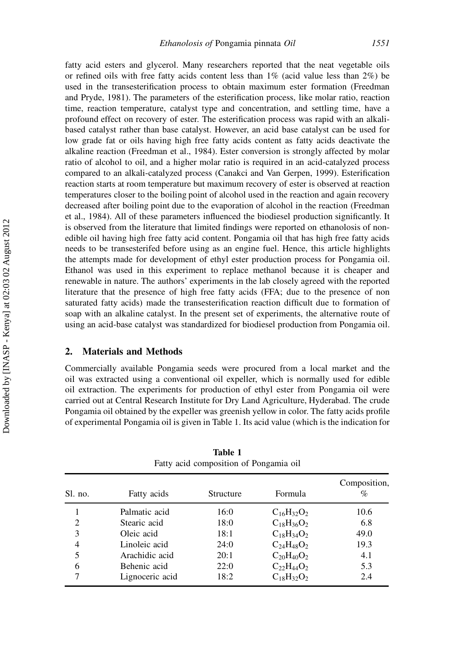fatty acid esters and glycerol. Many researchers reported that the neat vegetable oils or refined oils with free fatty acids content less than  $1\%$  (acid value less than  $2\%$ ) be used in the transesterification process to obtain maximum ester formation (Freedman and Pryde, 1981). The parameters of the esterification process, like molar ratio, reaction time, reaction temperature, catalyst type and concentration, and settling time, have a profound effect on recovery of ester. The esterification process was rapid with an alkalibased catalyst rather than base catalyst. However, an acid base catalyst can be used for low grade fat or oils having high free fatty acids content as fatty acids deactivate the alkaline reaction (Freedman et al., 1984). Ester conversion is strongly affected by molar ratio of alcohol to oil, and a higher molar ratio is required in an acid-catalyzed process compared to an alkali-catalyzed process (Canakci and Van Gerpen, 1999). Esterification reaction starts at room temperature but maximum recovery of ester is observed at reaction temperatures closer to the boiling point of alcohol used in the reaction and again recovery decreased after boiling point due to the evaporation of alcohol in the reaction (Freedman et al., 1984). All of these parameters influenced the biodiesel production significantly. It is observed from the literature that limited findings were reported on ethanolosis of nonedible oil having high free fatty acid content. Pongamia oil that has high free fatty acids needs to be transesterifed before using as an engine fuel. Hence, this article highlights the attempts made for development of ethyl ester production process for Pongamia oil. Ethanol was used in this experiment to replace methanol because it is cheaper and renewable in nature. The authors' experiments in the lab closely agreed with the reported literature that the presence of high free fatty acids (FFA; due to the presence of non saturated fatty acids) made the transesterification reaction difficult due to formation of soap with an alkaline catalyst. In the present set of experiments, the alternative route of using an acid-base catalyst was standardized for biodiesel production from Pongamia oil.

# 2. Materials and Methods

Commercially available Pongamia seeds were procured from a local market and the oil was extracted using a conventional oil expeller, which is normally used for edible oil extraction. The experiments for production of ethyl ester from Pongamia oil were carried out at Central Research Institute for Dry Land Agriculture, Hyderabad. The crude Pongamia oil obtained by the expeller was greenish yellow in color. The fatty acids profile of experimental Pongamia oil is given in Table 1. Its acid value (which is the indication for

| Sl. no.        | Fatty acids     | Structure | Formula           | Composition,<br>% |
|----------------|-----------------|-----------|-------------------|-------------------|
|                | Palmatic acid   | 16:0      | $C_{16}H_{32}O_2$ | 10.6              |
| $\overline{2}$ | Stearic acid    | 18:0      | $C_{18}H_{36}O_2$ | 6.8               |
| 3              | Oleic acid      | 18:1      | $C_{18}H_{34}O_2$ | 49.0              |
| 4              | Linoleic acid   | 24:0      | $C_{24}H_{48}O_2$ | 19.3              |
| 5              | Arachidic acid  | 20:1      | $C_{20}H_{40}O_2$ | 4.1               |
| 6              | Behenic acid    | 22:0      | $C_{22}H_{44}O_2$ | 5.3               |
|                | Lignoceric acid | 18:2      | $C_{18}H_{32}O_2$ | 2.4               |

Table 1 Fatty acid composition of Pongamia oil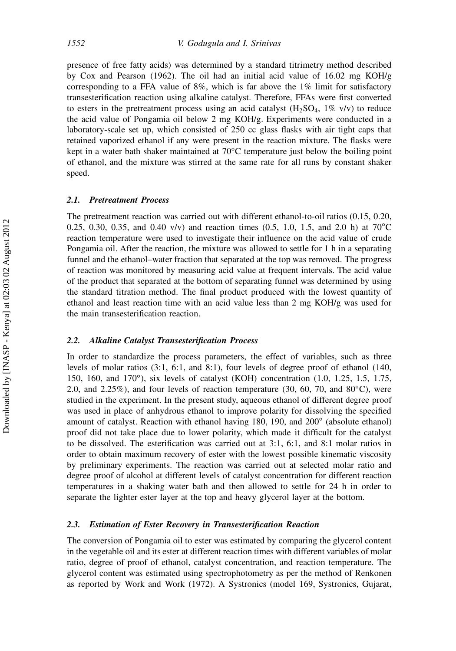presence of free fatty acids) was determined by a standard titrimetry method described by Cox and Pearson (1962). The oil had an initial acid value of  $16.02 \text{ mg } KOH/g$ corresponding to a FFA value of 8%, which is far above the 1% limit for satisfactory transesterification reaction using alkaline catalyst. Therefore, FFAs were first converted to esters in the pretreatment process using an acid catalyst  $(H_2SO_4, 1\% \text{ v/v})$  to reduce the acid value of Pongamia oil below 2 mg KOH/g. Experiments were conducted in a laboratory-scale set up, which consisted of 250 cc glass flasks with air tight caps that retained vaporized ethanol if any were present in the reaction mixture. The flasks were kept in a water bath shaker maintained at  $70^{\circ}$ C temperature just below the boiling point of ethanol, and the mixture was stirred at the same rate for all runs by constant shaker speed.

#### 2.1. Pretreatment Process

The pretreatment reaction was carried out with different ethanol-to-oil ratios (0.15, 0.20, 0.25, 0.30, 0.35, and 0.40 v/v) and reaction times (0.5, 1.0, 1.5, and 2.0 h) at  $70^{\circ}$ C reaction temperature were used to investigate their influence on the acid value of crude Pongamia oil. After the reaction, the mixture was allowed to settle for 1 h in a separating funnel and the ethanol–water fraction that separated at the top was removed. The progress of reaction was monitored by measuring acid value at frequent intervals. The acid value of the product that separated at the bottom of separating funnel was determined by using the standard titration method. The final product produced with the lowest quantity of ethanol and least reaction time with an acid value less than 2 mg KOH/g was used for the main transesterification reaction.

# 2.2. Alkaline Catalyst Transesterification Process

In order to standardize the process parameters, the effect of variables, such as three levels of molar ratios (3:1, 6:1, and 8:1), four levels of degree proof of ethanol (140, 150, 160, and 170°), six levels of catalyst (KOH) concentration (1.0, 1.25, 1.5, 1.75, 2.0, and 2.25%), and four levels of reaction temperature (30, 60, 70, and  $80^{\circ}$ C), were studied in the experiment. In the present study, aqueous ethanol of different degree proof was used in place of anhydrous ethanol to improve polarity for dissolving the specified amount of catalyst. Reaction with ethanol having 180, 190, and 200° (absolute ethanol) proof did not take place due to lower polarity, which made it difficult for the catalyst to be dissolved. The esterification was carried out at 3:1, 6:1, and 8:1 molar ratios in order to obtain maximum recovery of ester with the lowest possible kinematic viscosity by preliminary experiments. The reaction was carried out at selected molar ratio and degree proof of alcohol at different levels of catalyst concentration for different reaction temperatures in a shaking water bath and then allowed to settle for 24 h in order to separate the lighter ester layer at the top and heavy glycerol layer at the bottom.

# 2.3. Estimation of Ester Recovery in Transesterification Reaction

The conversion of Pongamia oil to ester was estimated by comparing the glycerol content in the vegetable oil and its ester at different reaction times with different variables of molar ratio, degree of proof of ethanol, catalyst concentration, and reaction temperature. The glycerol content was estimated using spectrophotometry as per the method of Renkonen as reported by Work and Work (1972). A Systronics (model 169, Systronics, Gujarat,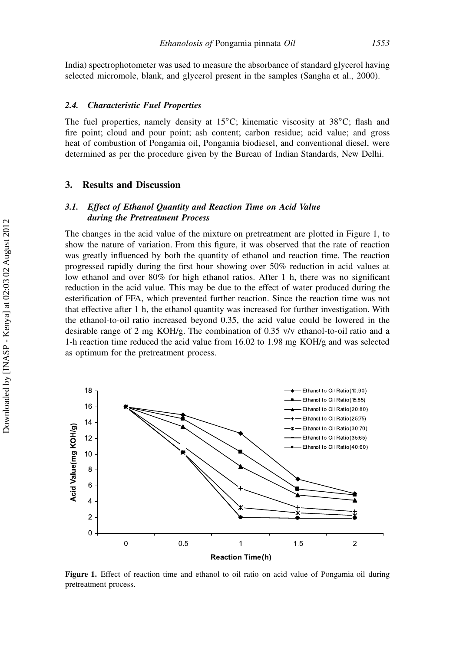India) spectrophotometer was used to measure the absorbance of standard glycerol having selected micromole, blank, and glycerol present in the samples (Sangha et al., 2000).

#### 2.4. Characteristic Fuel Properties

The fuel properties, namely density at  $15^{\circ}$ C; kinematic viscosity at  $38^{\circ}$ C; flash and fire point; cloud and pour point; ash content; carbon residue; acid value; and gross heat of combustion of Pongamia oil, Pongamia biodiesel, and conventional diesel, were determined as per the procedure given by the Bureau of Indian Standards, New Delhi.

#### 3. Results and Discussion

#### 3.1. Effect of Ethanol Quantity and Reaction Time on Acid Value during the Pretreatment Process

The changes in the acid value of the mixture on pretreatment are plotted in Figure 1, to show the nature of variation. From this figure, it was observed that the rate of reaction was greatly influenced by both the quantity of ethanol and reaction time. The reaction progressed rapidly during the first hour showing over 50% reduction in acid values at low ethanol and over 80% for high ethanol ratios. After 1 h, there was no significant reduction in the acid value. This may be due to the effect of water produced during the esterification of FFA, which prevented further reaction. Since the reaction time was not that effective after 1 h, the ethanol quantity was increased for further investigation. With the ethanol-to-oil ratio increased beyond 0.35, the acid value could be lowered in the desirable range of 2 mg KOH/g. The combination of 0.35 v/v ethanol-to-oil ratio and a 1-h reaction time reduced the acid value from 16.02 to 1.98 mg KOH/g and was selected as optimum for the pretreatment process.



Figure 1. Effect of reaction time and ethanol to oil ratio on acid value of Pongamia oil during pretreatment process.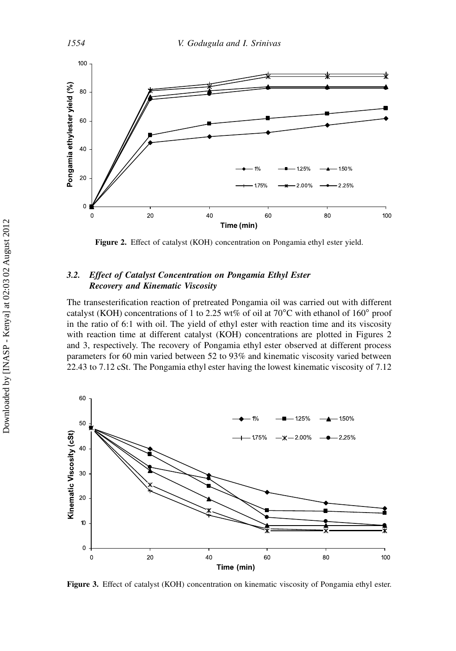

Figure 2. Effect of catalyst (KOH) concentration on Pongamia ethyl ester yield.

# 3.2. Effect of Catalyst Concentration on Pongamia Ethyl Ester Recovery and Kinematic Viscosity

The transesterification reaction of pretreated Pongamia oil was carried out with different catalyst (KOH) concentrations of 1 to 2.25 wt% of oil at 70 $^{\circ}$ C with ethanol of 160 $^{\circ}$  proof in the ratio of 6:1 with oil. The yield of ethyl ester with reaction time and its viscosity with reaction time at different catalyst (KOH) concentrations are plotted in Figures 2 and 3, respectively. The recovery of Pongamia ethyl ester observed at different process parameters for 60 min varied between 52 to 93% and kinematic viscosity varied between 22.43 to 7.12 cSt. The Pongamia ethyl ester having the lowest kinematic viscosity of 7.12



Figure 3. Effect of catalyst (KOH) concentration on kinematic viscosity of Pongamia ethyl ester.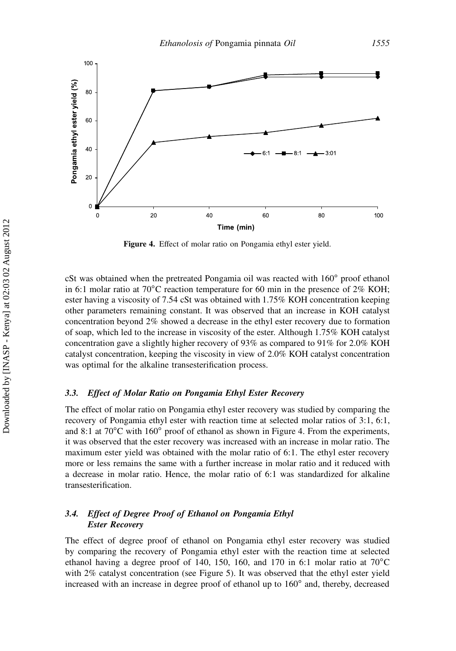

Figure 4. Effect of molar ratio on Pongamia ethyl ester yield.

cSt was obtained when the pretreated Pongamia oil was reacted with  $160^\circ$  proof ethanol in 6:1 molar ratio at  $70^{\circ}$ C reaction temperature for 60 min in the presence of  $2\%$  KOH; ester having a viscosity of 7.54 cSt was obtained with 1.75% KOH concentration keeping other parameters remaining constant. It was observed that an increase in KOH catalyst concentration beyond 2% showed a decrease in the ethyl ester recovery due to formation of soap, which led to the increase in viscosity of the ester. Although 1.75% KOH catalyst concentration gave a slightly higher recovery of 93% as compared to 91% for 2.0% KOH catalyst concentration, keeping the viscosity in view of 2.0% KOH catalyst concentration was optimal for the alkaline transesterification process.

#### 3.3. Effect of Molar Ratio on Pongamia Ethyl Ester Recovery

The effect of molar ratio on Pongamia ethyl ester recovery was studied by comparing the recovery of Pongamia ethyl ester with reaction time at selected molar ratios of 3:1, 6:1, and 8:1 at  $70^{\circ}$ C with 160<sup>°</sup> proof of ethanol as shown in Figure 4. From the experiments, it was observed that the ester recovery was increased with an increase in molar ratio. The maximum ester yield was obtained with the molar ratio of 6:1. The ethyl ester recovery more or less remains the same with a further increase in molar ratio and it reduced with a decrease in molar ratio. Hence, the molar ratio of 6:1 was standardized for alkaline transesterification.

# 3.4. Effect of Degree Proof of Ethanol on Pongamia Ethyl Ester Recovery

The effect of degree proof of ethanol on Pongamia ethyl ester recovery was studied by comparing the recovery of Pongamia ethyl ester with the reaction time at selected ethanol having a degree proof of 140, 150, 160, and 170 in 6:1 molar ratio at  $70^{\circ}$ C with 2% catalyst concentration (see Figure 5). It was observed that the ethyl ester yield increased with an increase in degree proof of ethanol up to 160° and, thereby, decreased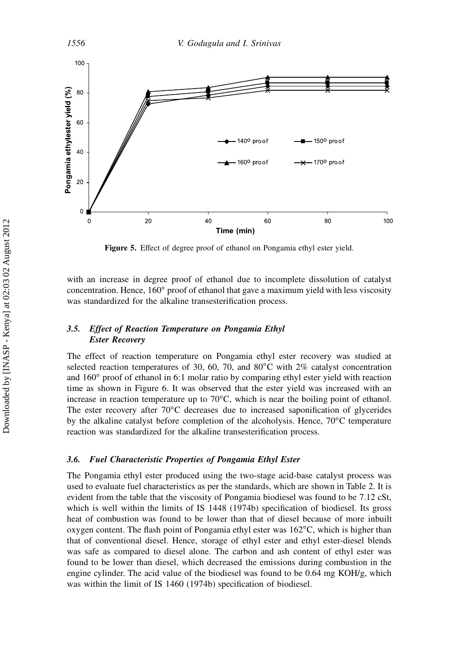

Figure 5. Effect of degree proof of ethanol on Pongamia ethyl ester yield.

with an increase in degree proof of ethanol due to incomplete dissolution of catalyst concentration. Hence,  $160^\circ$  proof of ethanol that gave a maximum yield with less viscosity was standardized for the alkaline transesterification process.

# 3.5. Effect of Reaction Temperature on Pongamia Ethyl Ester Recovery

The effect of reaction temperature on Pongamia ethyl ester recovery was studied at selected reaction temperatures of 30, 60, 70, and  $80^{\circ}$ C with 2% catalyst concentration and 160° proof of ethanol in 6:1 molar ratio by comparing ethyl ester yield with reaction time as shown in Figure 6. It was observed that the ester yield was increased with an increase in reaction temperature up to  $70^{\circ}$ C, which is near the boiling point of ethanol. The ester recovery after  $70^{\circ}$ C decreases due to increased saponification of glycerides by the alkaline catalyst before completion of the alcoholysis. Hence,  $70^{\circ}$ C temperature reaction was standardized for the alkaline transesterification process.

# 3.6. Fuel Characteristic Properties of Pongamia Ethyl Ester

The Pongamia ethyl ester produced using the two-stage acid-base catalyst process was used to evaluate fuel characteristics as per the standards, which are shown in Table 2. It is evident from the table that the viscosity of Pongamia biodiesel was found to be 7.12 cSt, which is well within the limits of IS 1448 (1974b) specification of biodiesel. Its gross heat of combustion was found to be lower than that of diesel because of more inbuilt oxygen content. The flash point of Pongamia ethyl ester was 162°C, which is higher than that of conventional diesel. Hence, storage of ethyl ester and ethyl ester-diesel blends was safe as compared to diesel alone. The carbon and ash content of ethyl ester was found to be lower than diesel, which decreased the emissions during combustion in the engine cylinder. The acid value of the biodiesel was found to be  $0.64 \text{ mg KOH/g}$ , which was within the limit of IS 1460 (1974b) specification of biodiesel.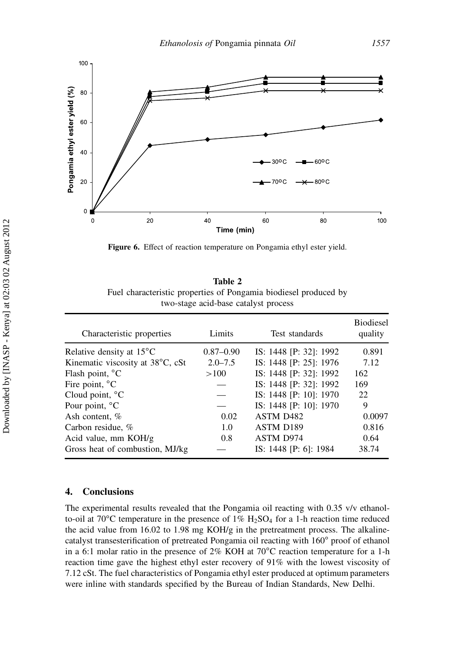

Figure 6. Effect of reaction temperature on Pongamia ethyl ester yield.

Table 2 Fuel characteristic properties of Pongamia biodiesel produced by two-stage acid-base catalyst process

| Characteristic properties          | Limits        | Test standards         | <b>Biodiesel</b><br>quality |
|------------------------------------|---------------|------------------------|-----------------------------|
| Relative density at $15^{\circ}$ C | $0.87 - 0.90$ | IS: 1448 [P: 32]: 1992 | 0.891                       |
| Kinematic viscosity at 38°C, cSt   | $2.0 - 7.5$   | IS: 1448 [P: 25]: 1976 | 7.12                        |
| Flash point, °C                    | >100          | IS: 1448 [P: 32]: 1992 | 162                         |
| Fire point, $^{\circ}C$            |               | IS: 1448 [P: 32]: 1992 | 169                         |
| Cloud point, °C                    |               | IS: 1448 [P: 10]: 1970 | 22.                         |
| Pour point, $^{\circ}C$            |               | IS: 1448 [P: 10]: 1970 | 9                           |
| Ash content, %                     | 0.02          | ASTM D <sub>482</sub>  | 0.0097                      |
| Carbon residue, %                  | 1.0           | <b>ASTM D189</b>       | 0.816                       |
| Acid value, mm KOH/g               | 0.8           | <b>ASTM D974</b>       | 0.64                        |
| Gross heat of combustion, MJ/kg    |               | IS: 1448 [P: 6]: 1984  | 38.74                       |

# 4. Conclusions

The experimental results revealed that the Pongamia oil reacting with 0.35 v/v ethanolto-oil at 70<sup>o</sup>C temperature in the presence of  $1\%$  H<sub>2</sub>SO<sub>4</sub> for a 1-h reaction time reduced the acid value from 16.02 to 1.98 mg KOH/g in the pretreatment process. The alkalinecatalyst transesterification of pretreated Pongamia oil reacting with 160° proof of ethanol in a 6:1 molar ratio in the presence of  $2\%$  KOH at  $70^{\circ}$ C reaction temperature for a 1-h reaction time gave the highest ethyl ester recovery of 91% with the lowest viscosity of 7.12 cSt. The fuel characteristics of Pongamia ethyl ester produced at optimum parameters were inline with standards specified by the Bureau of Indian Standards, New Delhi.